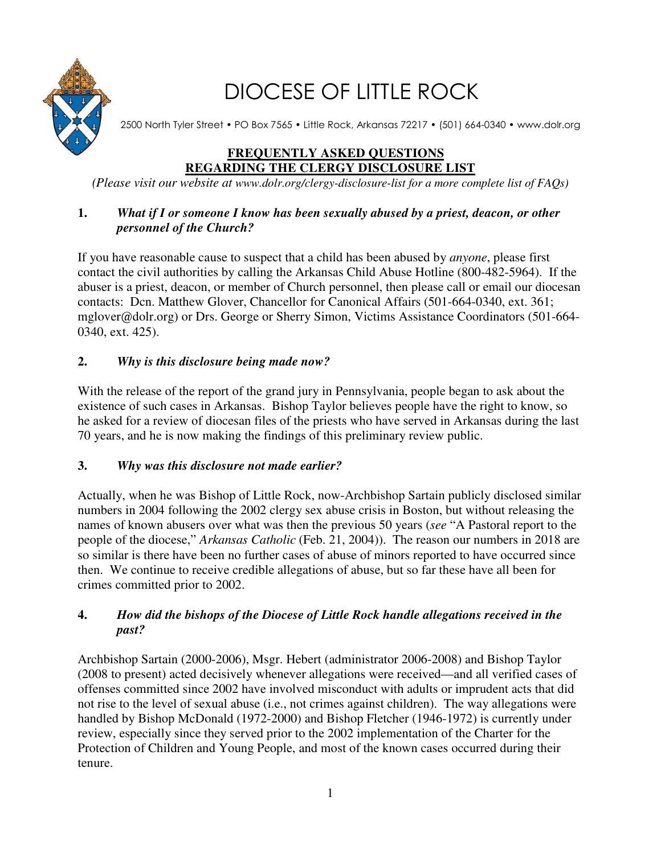

# DIOCESE OF LITTLE ROCK

2500 North Tyler Street • PO Box 7565 • Little Rock, Arkansas 72217 • (501) 664-0340 • www.dolr.org

# **FREQUENTLY ASKED QUESTIONS REGARDING THE CLERGY DISCLOSURE LIST**

*(Please visit our website at www.dolr.org/clergy-disclosure-list for a more complete list of FAQs)* 

## **1.** *What if I or someone I know has been sexually abused by a priest, deacon, or other personnel of the Church?*

If you have reasonable cause to suspect that a child has been abused by *anyone*, please first contact the civil authorities by calling the Arkansas Child Abuse Hotline (800-482-5964). If the abuser is a priest, deacon, or member of Church personnel, then please call or email our diocesan contacts: Dcn. Matthew Glover, Chancellor for Canonical Affairs (501-664-0340, ext. 361; mglover@dolr.org) or Drs. George or Sherry Simon, Victims Assistance Coordinators (501-664- 0340, ext. 425).

## **2.** *Why is this disclosure being made now?*

With the release of the report of the grand jury in Pennsylvania, people began to ask about the existence of such cases in Arkansas. Bishop Taylor believes people have the right to know, so he asked for a review of diocesan files of the priests who have served in Arkansas during the last 70 years, and he is now making the findings of this preliminary review public.

## **3.** *Why was this disclosure not made earlier?*

Actually, when he was Bishop of Little Rock, now-Archbishop Sartain publicly disclosed similar numbers in 2004 following the 2002 clergy sex abuse crisis in Boston, but without releasing the names of known abusers over what was then the previous 50 years (*see* "A Pastoral report to the people of the diocese," *Arkansas Catholic* (Feb. 21, 2004)). The reason our numbers in 2018 are so similar is there have been no further cases of abuse of minors reported to have occurred since then. We continue to receive credible allegations of abuse, but so far these have all been for crimes committed prior to 2002.

## **4.** *How did the bishops of the Diocese of Little Rock handle allegations received in the past?*

Archbishop Sartain (2000-2006), Msgr. Hebert (administrator 2006-2008) and Bishop Taylor (2008 to present) acted decisively whenever allegations were received—and all verified cases of offenses committed since 2002 have involved misconduct with adults or imprudent acts that did not rise to the level of sexual abuse (i.e., not crimes against children). The way allegations were handled by Bishop McDonald (1972-2000) and Bishop Fletcher (1946-1972) is currently under review, especially since they served prior to the 2002 implementation of the Charter for the Protection of Children and Young People, and most of the known cases occurred during their tenure.